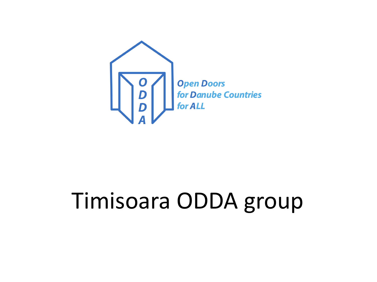

# Timisoara ODDA group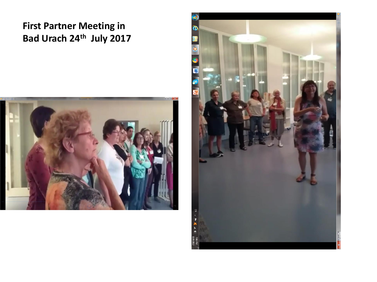# **First Partner Meeting in Bad Urach 24th July 2017**



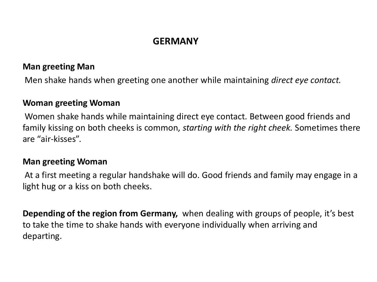# **GERMANY**

#### **Man greeting Man**

Men shake hands when greeting one another while maintaining *direct eye contact.*

#### **Woman greeting Woman**

Women shake hands while maintaining direct eye contact. Between good friends and family kissing on both cheeks is common, *starting with the right cheek.* Sometimes there are "air-kisses".

#### **Man greeting Woman**

At a first meeting a regular handshake will do. Good friends and family may engage in a light hug or a kiss on both cheeks.

**Depending of the region from Germany,** when dealing with groups of people, it's best to take the time to shake hands with everyone individually when arriving and departing.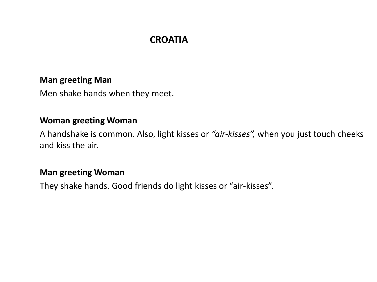# **CROATIA**

#### **Man greeting Man**

Men shake hands when they meet.

#### **Woman greeting Woman**

A handshake is common. Also, light kisses or *"air-kisses",* when you just touch cheeks and kiss the air.

#### **Man greeting Woman**

They shake hands. Good friends do light kisses or "air-kisses".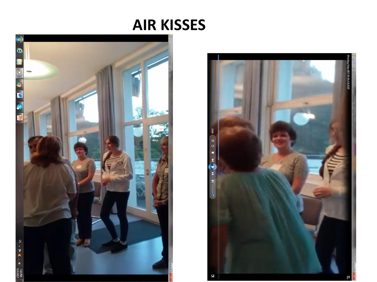# **AIR KISSES**



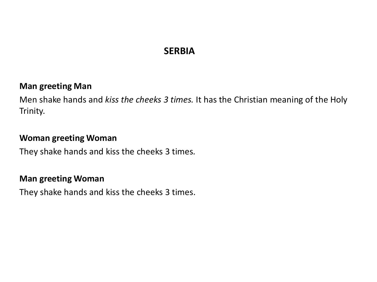# **SERBIA**

#### **Man greeting Man**

Men shake hands and *kiss the cheeks 3 times.* It has the Christian meaning of the Holy Trinity.

#### **Woman greeting Woman**

They shake hands and kiss the cheeks 3 times*.* 

#### **Man greeting Woman**

They shake hands and kiss the cheeks 3 times.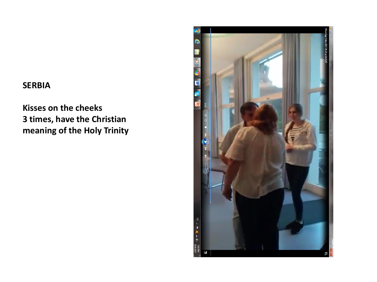#### **SERBIA**

# **Kisses on the cheeks 3 times, have the Christian meaning of the Holy Trinity**

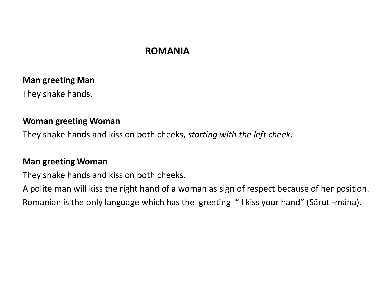### **ROMANIA**

#### **Man greeting Man**

They shake hands.

#### **Woman greeting Woman**

They shake hands and kiss on both cheeks, *starting with the left cheek.*

#### **Man greeting Woman**

They shake hands and kiss on both cheeks.

A polite man will kiss the right hand of a woman as sign of respect because of her position. Romanian is the only language which has the greeting " I kiss your hand" (Sărut -mâna).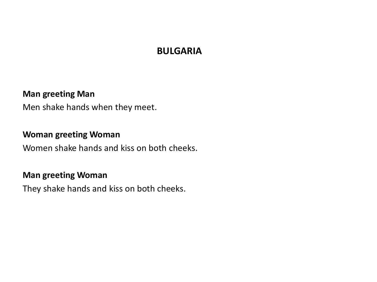### **BULGARIA**

#### **Man greeting Man**

Men shake hands when they meet.

#### **Woman greeting Woman**

Women shake hands and kiss on both cheeks.

#### **Man greeting Woman**

They shake hands and kiss on both cheeks.